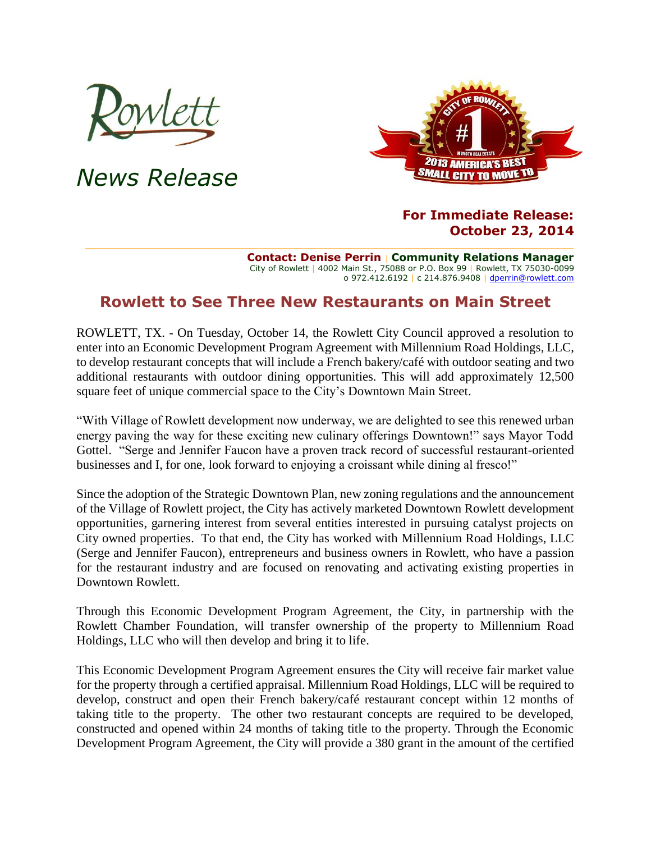

*News Release*



## **For Immediate Release: October 23, 2014**

**Contact: Denise Perrin** | **Community Relations Manager** City of Rowlett | 4002 Main St., 75088 or P.O. Box 99 | Rowlett, TX 75030-0099 o 972.412.6192 | c 214.876.9408 [| dperrin@rowlett.com](mailto:dperrin@rowlett.com)

## **Rowlett to See Three New Restaurants on Main Street**

ROWLETT, TX. - On Tuesday, October 14, the Rowlett City Council approved a resolution to enter into an Economic Development Program Agreement with Millennium Road Holdings, LLC, to develop restaurant concepts that will include a French bakery/café with outdoor seating and two additional restaurants with outdoor dining opportunities. This will add approximately 12,500 square feet of unique commercial space to the City's Downtown Main Street.

"With Village of Rowlett development now underway, we are delighted to see this renewed urban energy paving the way for these exciting new culinary offerings Downtown!" says Mayor Todd Gottel. "Serge and Jennifer Faucon have a proven track record of successful restaurant-oriented businesses and I, for one, look forward to enjoying a croissant while dining al fresco!"

Since the adoption of the Strategic Downtown Plan, new zoning regulations and the announcement of the Village of Rowlett project, the City has actively marketed Downtown Rowlett development opportunities, garnering interest from several entities interested in pursuing catalyst projects on City owned properties. To that end, the City has worked with Millennium Road Holdings, LLC (Serge and Jennifer Faucon), entrepreneurs and business owners in Rowlett, who have a passion for the restaurant industry and are focused on renovating and activating existing properties in Downtown Rowlett.

Through this Economic Development Program Agreement, the City, in partnership with the Rowlett Chamber Foundation, will transfer ownership of the property to Millennium Road Holdings, LLC who will then develop and bring it to life.

This Economic Development Program Agreement ensures the City will receive fair market value for the property through a certified appraisal. Millennium Road Holdings, LLC will be required to develop, construct and open their French bakery/café restaurant concept within 12 months of taking title to the property. The other two restaurant concepts are required to be developed, constructed and opened within 24 months of taking title to the property. Through the Economic Development Program Agreement, the City will provide a 380 grant in the amount of the certified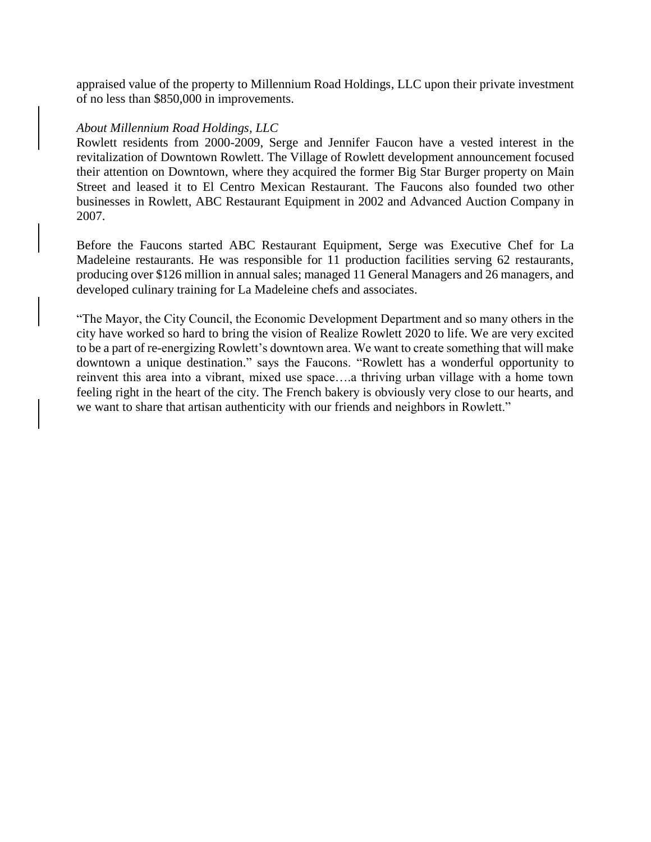appraised value of the property to Millennium Road Holdings, LLC upon their private investment of no less than \$850,000 in improvements.

## *About Millennium Road Holdings, LLC*

Rowlett residents from 2000-2009, Serge and Jennifer Faucon have a vested interest in the revitalization of Downtown Rowlett. The Village of Rowlett development announcement focused their attention on Downtown, where they acquired the former Big Star Burger property on Main Street and leased it to El Centro Mexican Restaurant. The Faucons also founded two other businesses in Rowlett, ABC Restaurant Equipment in 2002 and Advanced Auction Company in 2007.

Before the Faucons started ABC Restaurant Equipment, Serge was Executive Chef for La Madeleine restaurants. He was responsible for 11 production facilities serving 62 restaurants, producing over \$126 million in annual sales; managed 11 General Managers and 26 managers, and developed culinary training for La Madeleine chefs and associates.

"The Mayor, the City Council, the Economic Development Department and so many others in the city have worked so hard to bring the vision of Realize Rowlett 2020 to life. We are very excited to be a part of re-energizing Rowlett's downtown area. We want to create something that will make downtown a unique destination." says the Faucons. "Rowlett has a wonderful opportunity to reinvent this area into a vibrant, mixed use space….a thriving urban village with a home town feeling right in the heart of the city. The French bakery is obviously very close to our hearts, and we want to share that artisan authenticity with our friends and neighbors in Rowlett."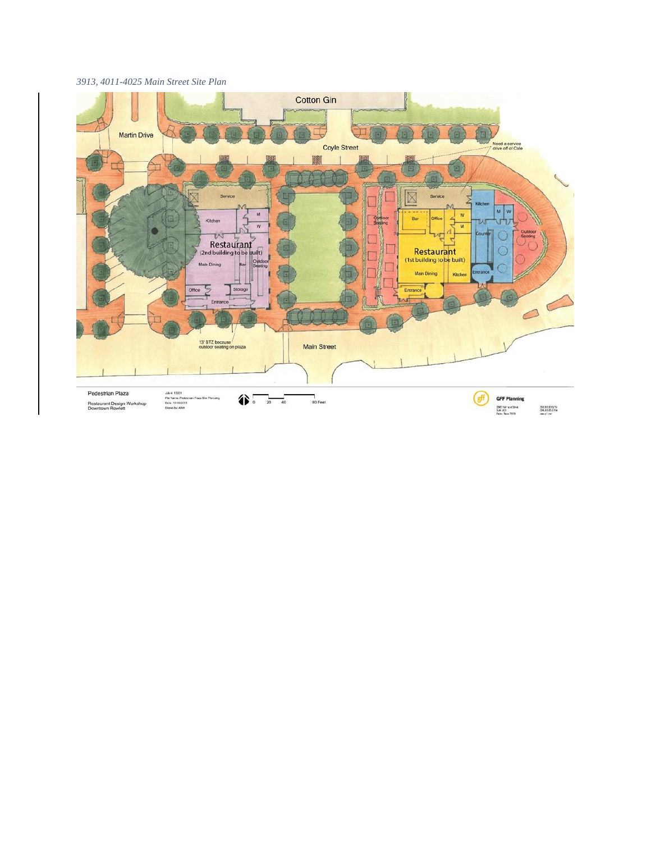## *3913, 4011-4025 Main Street Site Plan*

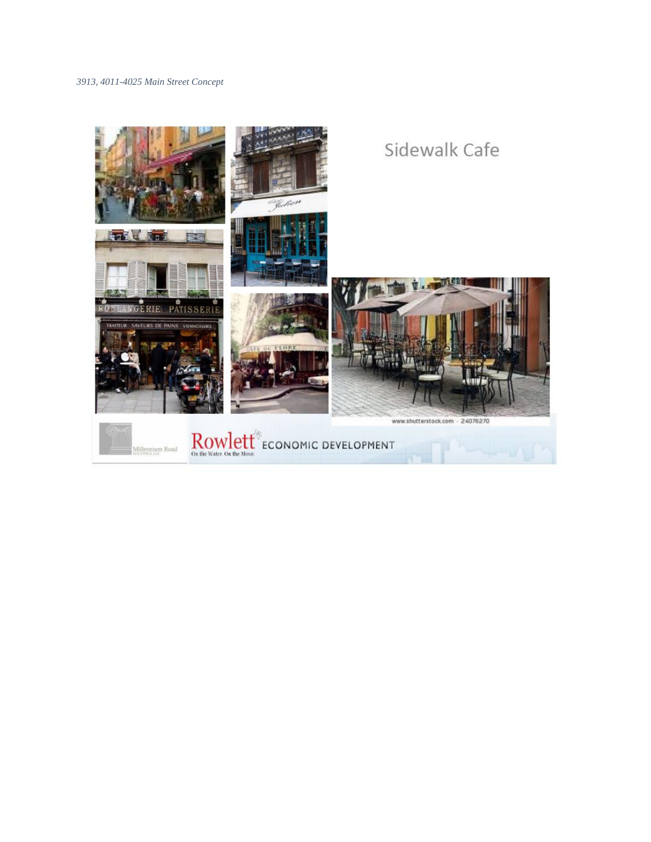